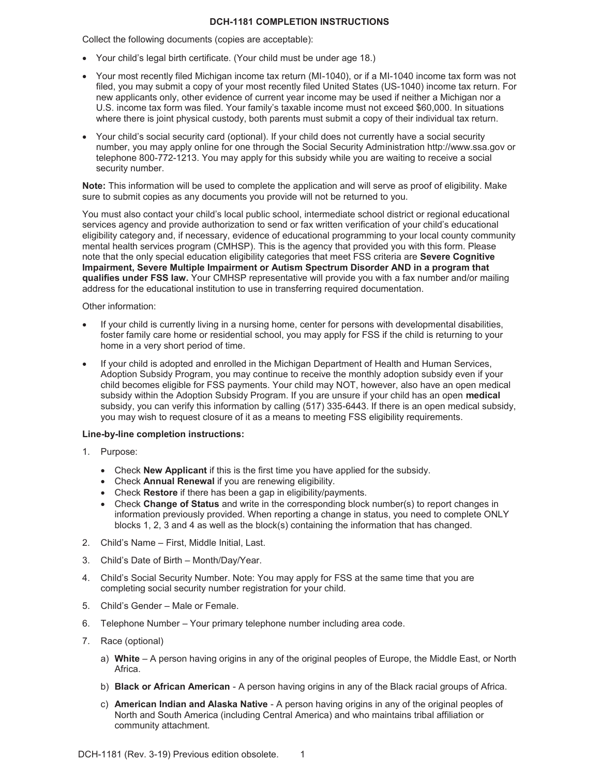## **DCH-1181 COMPLETION INSTRUCTIONS**

Collect the following documents (copies are acceptable):

- Your child's legal birth certificate. (Your child must be under age 18.)
- Your most recently filed Michigan income tax return (MI-1040), or if a MI-1040 income tax form was not filed, you may submit a copy of your most recently filed United States (US-1040) income tax return. For new applicants only, other evidence of current year income may be used if neither a Michigan nor a U.S. income tax form was filed. Your family's taxable income must not exceed \$60,000. In situations where there is joint physical custody, both parents must submit a copy of their individual tax return.
- Your child's social security card (optional). If your child does not currently have a social security number, you may apply online for one through the Social Security Administration http://www.ssa.gov or telephone 800-772-1213. You may apply for this subsidy while you are waiting to receive a social security number.

**Note:** This information will be used to complete the application and will serve as proof of eligibility. Make sure to submit copies as any documents you provide will not be returned to you.

You must also contact your child's local public school, intermediate school district or regional educational services agency and provide authorization to send or fax written verification of your child's educational eligibility category and, if necessary, evidence of educational programming to your local county community mental health services program (CMHSP). This is the agency that provided you with this form. Please note that the only special education eligibility categories that meet FSS criteria are **Severe Cognitive Impairment, Severe Multiple Impairment or Autism Spectrum Disorder AND in a program that qualifies under FSS law.** Your CMHSP representative will provide you with a fax number and/or mailing address for the educational institution to use in transferring required documentation.

## Other information:

- If your child is currently living in a nursing home, center for persons with developmental disabilities, foster family care home or residential school, you may apply for FSS if the child is returning to your home in a very short period of time.
- If your child is adopted and enrolled in the Michigan Department of Health and Human Services, Adoption Subsidy Program, you may continue to receive the monthly adoption subsidy even if your child becomes eligible for FSS payments. Your child may NOT, however, also have an open medical subsidy within the Adoption Subsidy Program. If you are unsure if your child has an open **medical** subsidy, you can verify this information by calling (517) 335-6443. If there is an open medical subsidy, you may wish to request closure of it as a means to meeting FSS eligibility requirements.

## **Line-by-line completion instructions:**

- 1. Purpose:
	- **•** Check **New Applicant** if this is the first time you have applied for the subsidy.
	- **•** Check **Annual Renewal** if you are renewing eligibility.
	- Check **Restore** if there has been a gap in eligibility/payments.
	- Check **Change of Status** and write in the corresponding block number(s) to report changes in information previously provided. When reporting a change in status, you need to complete ONLY blocks 1, 2, 3 and 4 as well as the block(s) containing the information that has changed.
- 2. Child's Name First, Middle Initial, Last.
- 3. Child's Date of Birth Month/Day/Year.
- 4. Child's Social Security Number. Note: You may apply for FSS at the same time that you are completing social security number registration for your child.
- 5. Child's Gender Male or Female.
- 6. Telephone Number Your primary telephone number including area code.
- 7. Race (optional)
	- a) **White** A person having origins in any of the original peoples of Europe, the Middle East, or North Africa.
	- b) **Black or African American** A person having origins in any of the Black racial groups of Africa.
	- c) **American Indian and Alaska Native** A person having origins in any of the original peoples of North and South America (including Central America) and who maintains tribal affiliation or community attachment.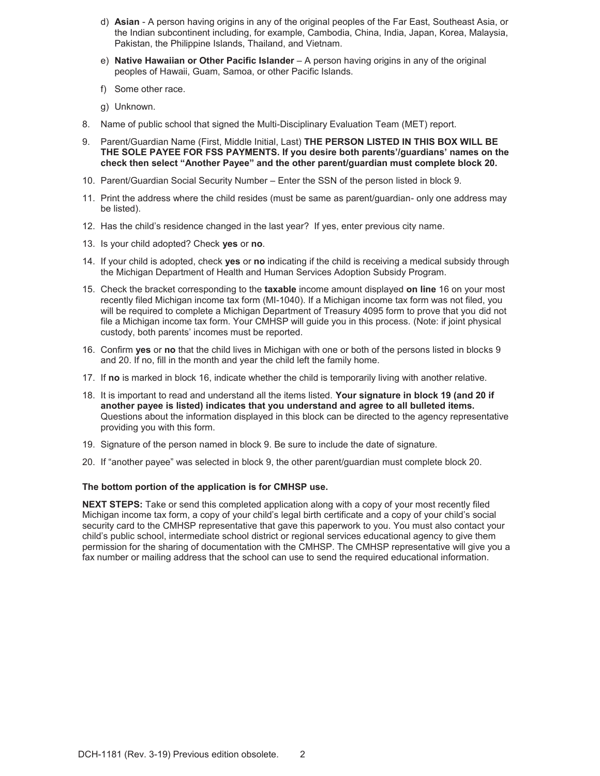- d) **Asian** A person having origins in any of the original peoples of the Far East, Southeast Asia, or the Indian subcontinent including, for example, Cambodia, China, India, Japan, Korea, Malaysia, Pakistan, the Philippine Islands, Thailand, and Vietnam.
- e) **Native Hawaiian or Other Pacific Islander** A person having origins in any of the original peoples of Hawaii, Guam, Samoa, or other Pacific Islands.
- f) Some other race.
- g) Unknown.
- 8. Name of public school that signed the Multi-Disciplinary Evaluation Team (MET) report.
- 9. Parent/Guardian Name (First, Middle Initial, Last) **THE PERSON LISTED IN THIS BOX WILL BE THE SOLE PAYEE FOR FSS PAYMENTS. If you desire both parents'/guardians' names on the check then select "Another Payee" and the other parent/guardian must complete block 20.**
- 10. Parent/Guardian Social Security Number Enter the SSN of the person listed in block 9.
- 11. Print the address where the child resides (must be same as parent/guardian- only one address may be listed).
- 12. Has the child's residence changed in the last year? If yes, enter previous city name.
- 13. Is your child adopted? Check **yes** or **no**.
- 14. If your child is adopted, check **yes** or **no** indicating if the child is receiving a medical subsidy through the Michigan Department of Health and Human Services Adoption Subsidy Program.
- 15. Check the bracket corresponding to the **taxable** income amount displayed **on line** 16 on your most recently filed Michigan income tax form (MI-1040). If a Michigan income tax form was not filed, you will be required to complete a Michigan Department of Treasury 4095 form to prove that you did not file a Michigan income tax form. Your CMHSP will guide you in this process. (Note: if joint physical custody, both parents' incomes must be reported.
- 16. Confirm **yes** or **no** that the child lives in Michigan with one or both of the persons listed in blocks 9 and 20. If no, fill in the month and year the child left the family home.
- 17. If **no** is marked in block 16, indicate whether the child is temporarily living with another relative.
- 18. It is important to read and understand all the items listed. **Your signature in block 19 (and 20 if another payee is listed) indicates that you understand and agree to all bulleted items.** Questions about the information displayed in this block can be directed to the agency representative providing you with this form.
- 19. Signature of the person named in block 9. Be sure to include the date of signature.
- 20. If "another payee" was selected in block 9, the other parent/guardian must complete block 20.

## **The bottom portion of the application is for CMHSP use.**

**NEXT STEPS:** Take or send this completed application along with a copy of your most recently filed Michigan income tax form, a copy of your child's legal birth certificate and a copy of your child's social security card to the CMHSP representative that gave this paperwork to you. You must also contact your child's public school, intermediate school district or regional services educational agency to give them permission for the sharing of documentation with the CMHSP. The CMHSP representative will give you a fax number or mailing address that the school can use to send the required educational information.